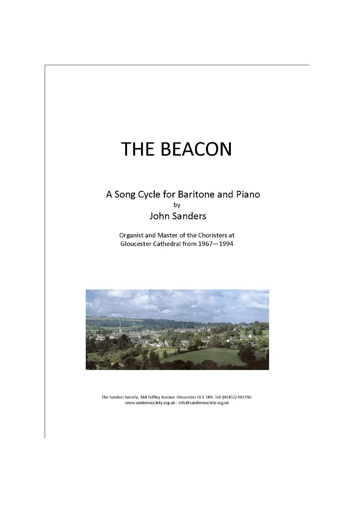# **THE BEACON**

## A Song Cycle for Baritone and Piano **John Sanders**

Organist and Master of the Choristers at Gloucester Cathedral from 1967-1994



The Sanders Society, 144 Tuffley Avenue. Gloucester GL1 5NS: Tel: (01452) 303760: www.sanderssociety.org.uk: info@sanderssociety.org.uk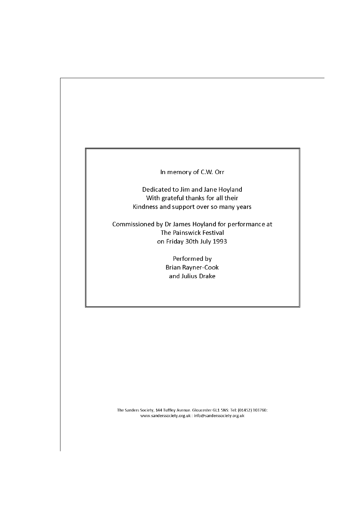#### In memory of C.W. Orr

Dedicated to Jim and Jane Hoyland With grateful thanks for all their Kindness and support over so many years

Commissioned by Dr James Hoyland for performance at The Painswick Festival on Friday 30th July 1993

> Performed by Brian Rayner-Cook and Julius Drake

The Sanders Society, 144 Tuffley Avenue. Gloucester GL1 5NS: Tel: (01452) 303760: www.sanderssociety.org.uk : info@sanderssociety.org.uk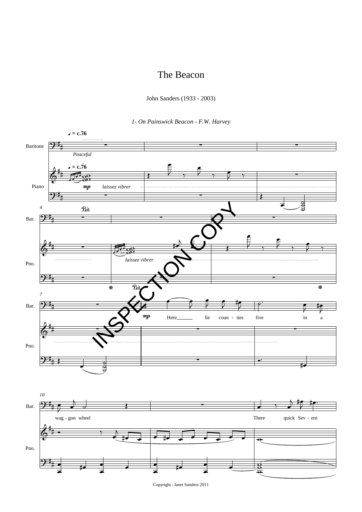### The Beacon

John Sanders (1933 - 2003)

1- On Painswick Beacon - F.W. Harvey



Copyright: Janet Sanders 2011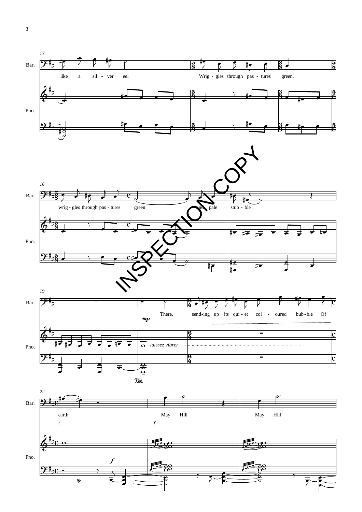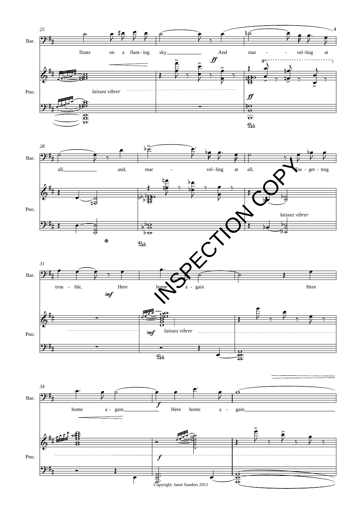





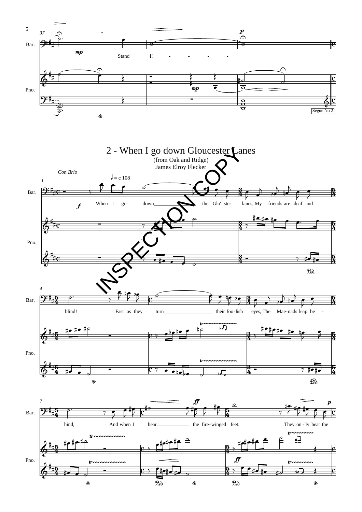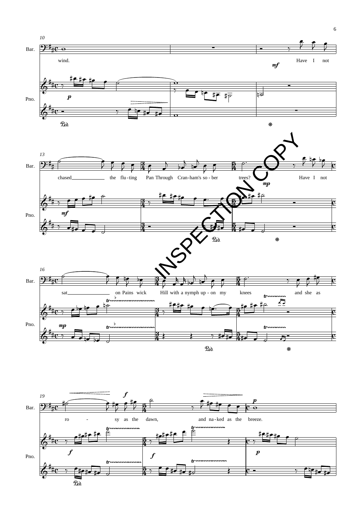

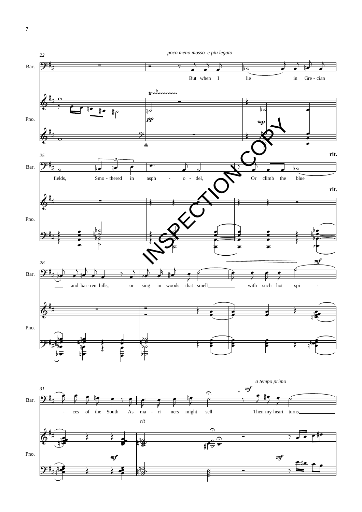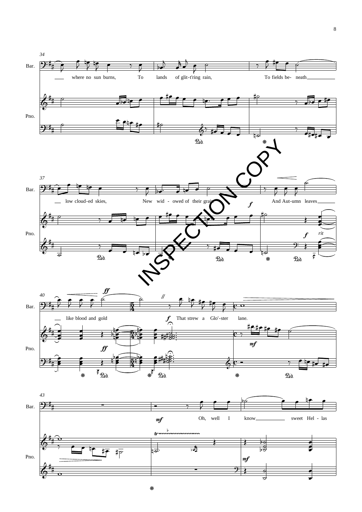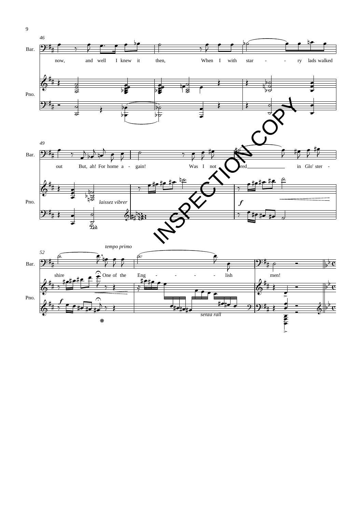

 $\overline{9}$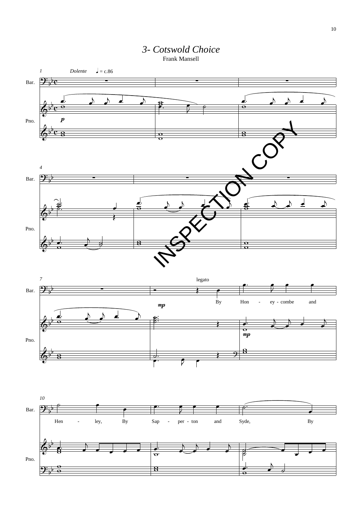

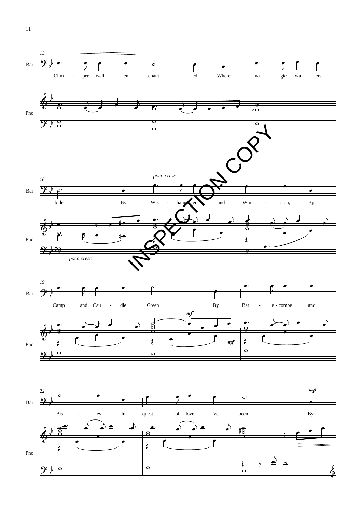



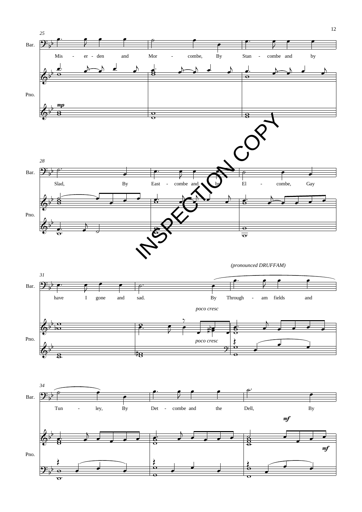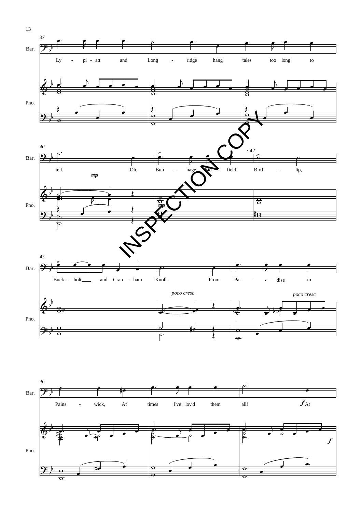



13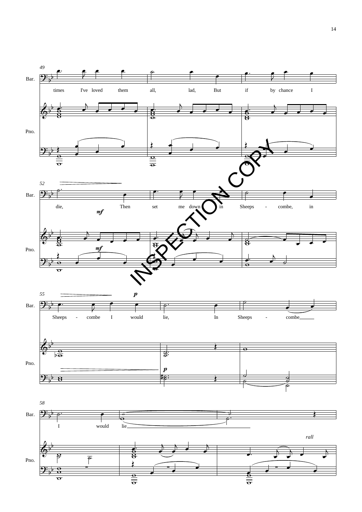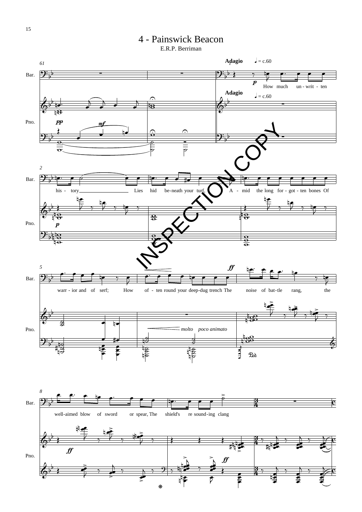## 4 - Painswick Beacon

E.R.P. Berriman

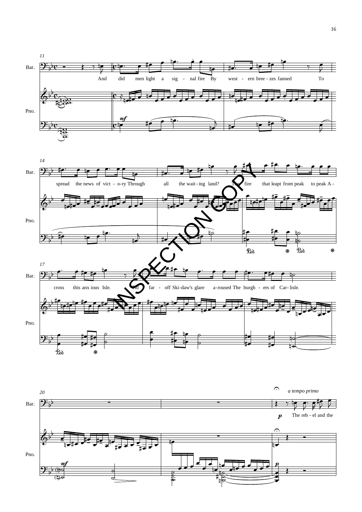



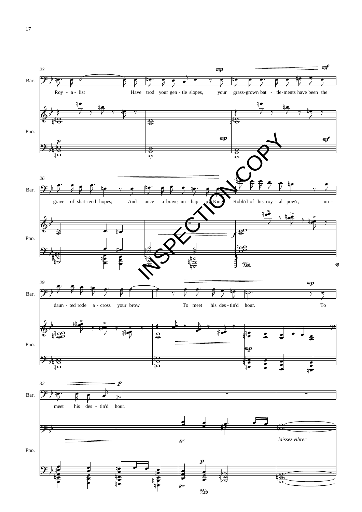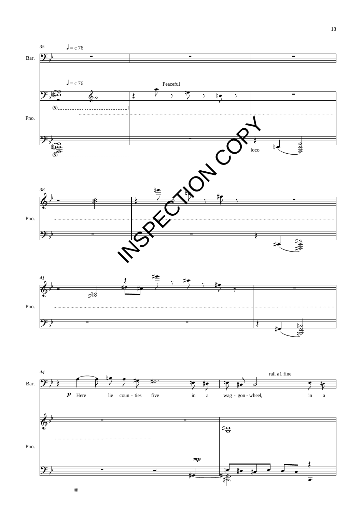